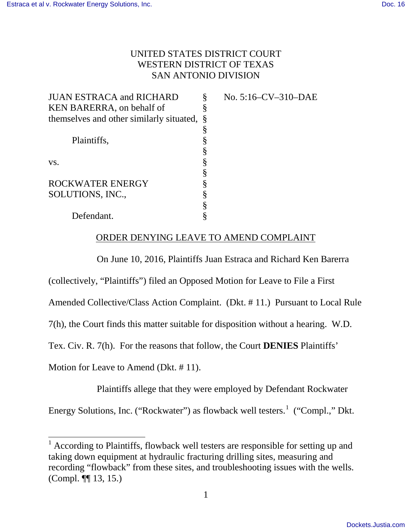## UNITED STATES DISTRICT COURT WESTERN DISTRICT OF TEXAS SAN ANTONIO DIVISION

| <b>JUAN ESTRACA and RICHARD</b>            | No. 5:16-CV-310-DAE |
|--------------------------------------------|---------------------|
| KEN BARERRA, on behalf of                  |                     |
| themselves and other similarly situated, § |                     |
|                                            |                     |
| Plaintiffs,                                |                     |
|                                            |                     |
| VS.                                        |                     |
|                                            |                     |
| <b>ROCKWATER ENERGY</b>                    |                     |
| SOLUTIONS, INC.,                           |                     |
|                                            |                     |
| Defendant.                                 |                     |

# ORDER DENYING LEAVE TO AMEND COMPLAINT

On June 10, 2016, Plaintiffs Juan Estraca and Richard Ken Barerra

(collectively, "Plaintiffs") filed an Opposed Motion for Leave to File a First

Amended Collective/Class Action Complaint. (Dkt. # 11.) Pursuant to Local Rule

7(h), the Court finds this matter suitable for disposition without a hearing. W.D.

Tex. Civ. R. 7(h). For the reasons that follow, the Court **DENIES** Plaintiffs'

Motion for Leave to Amend (Dkt. # 11).

Plaintiffs allege that they were employed by Defendant Rockwater

Energy Solutions, Inc. ("Rockwater") as flowback well testers.<sup>[1](#page-0-0)</sup> ("Compl.," Dkt.

<span id="page-0-0"></span> $\overline{a}$ <sup>1</sup> According to Plaintiffs, flowback well testers are responsible for setting up and taking down equipment at hydraulic fracturing drilling sites, measuring and recording "flowback" from these sites, and troubleshooting issues with the wells. (Compl. ¶¶ 13, 15.)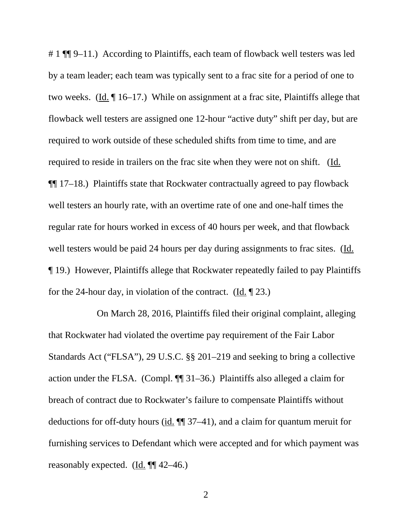# 1 ¶¶ 9–11.) According to Plaintiffs, each team of flowback well testers was led by a team leader; each team was typically sent to a frac site for a period of one to two weeks. (Id. ¶ 16–17.) While on assignment at a frac site, Plaintiffs allege that flowback well testers are assigned one 12-hour "active duty" shift per day, but are required to work outside of these scheduled shifts from time to time, and are required to reside in trailers on the frac site when they were not on shift. (Id. ¶¶ 17–18.) Plaintiffs state that Rockwater contractually agreed to pay flowback well testers an hourly rate, with an overtime rate of one and one-half times the regular rate for hours worked in excess of 40 hours per week, and that flowback well testers would be paid 24 hours per day during assignments to frac sites. (Id. ¶ 19.) However, Plaintiffs allege that Rockwater repeatedly failed to pay Plaintiffs for the 24-hour day, in violation of the contract. (Id. ¶ 23.)

 On March 28, 2016, Plaintiffs filed their original complaint, alleging that Rockwater had violated the overtime pay requirement of the Fair Labor Standards Act ("FLSA"), 29 U.S.C. §§ 201–219 and seeking to bring a collective action under the FLSA. (Compl. ¶¶ 31–36.) Plaintiffs also alleged a claim for breach of contract due to Rockwater's failure to compensate Plaintiffs without deductions for off-duty hours (id. ¶¶ 37–41), and a claim for quantum meruit for furnishing services to Defendant which were accepted and for which payment was reasonably expected. ( $\underline{Id}$ .  $\P\P$ 42–46.)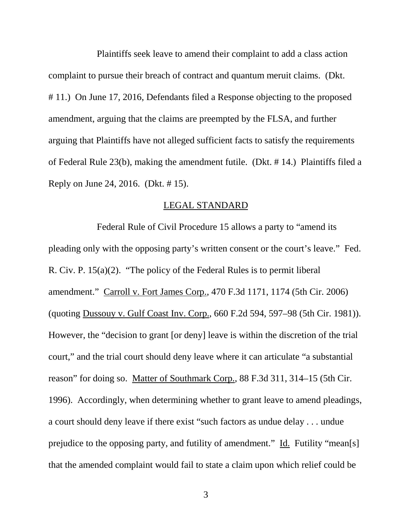Plaintiffs seek leave to amend their complaint to add a class action complaint to pursue their breach of contract and quantum meruit claims. (Dkt. # 11.) On June 17, 2016, Defendants filed a Response objecting to the proposed amendment, arguing that the claims are preempted by the FLSA, and further arguing that Plaintiffs have not alleged sufficient facts to satisfy the requirements of Federal Rule 23(b), making the amendment futile. (Dkt. # 14.) Plaintiffs filed a Reply on June 24, 2016. (Dkt. # 15).

#### LEGAL STANDARD

Federal Rule of Civil Procedure 15 allows a party to "amend its pleading only with the opposing party's written consent or the court's leave." Fed. R. Civ. P. 15(a)(2). "The policy of the Federal Rules is to permit liberal amendment." Carroll v. Fort James Corp., 470 F.3d 1171, 1174 (5th Cir. 2006) (quoting Dussouy v. Gulf Coast Inv. Corp., 660 F.2d 594, 597–98 (5th Cir. 1981)). However, the "decision to grant [or deny] leave is within the discretion of the trial court," and the trial court should deny leave where it can articulate "a substantial reason" for doing so. Matter of Southmark Corp., 88 F.3d 311, 314–15 (5th Cir. 1996). Accordingly, when determining whether to grant leave to amend pleadings, a court should deny leave if there exist "such factors as undue delay . . . undue prejudice to the opposing party, and futility of amendment." Id. Futility "mean[s] that the amended complaint would fail to state a claim upon which relief could be

3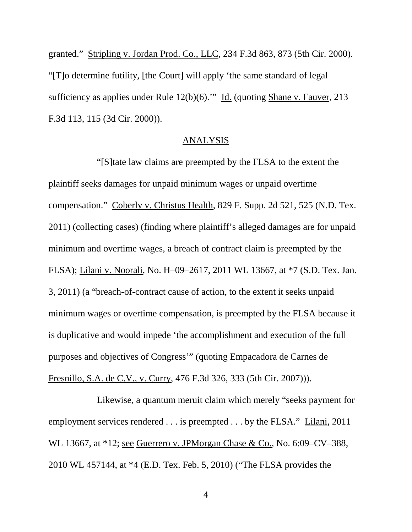granted." Stripling v. Jordan Prod. Co., LLC, 234 F.3d 863, 873 (5th Cir. 2000). "[T]o determine futility, [the Court] will apply 'the same standard of legal sufficiency as applies under Rule 12(b)(6)." Id. (quoting Shane v. Fauver, 213 F.3d 113, 115 (3d Cir. 2000)).

#### ANALYSIS

"[S]tate law claims are preempted by the FLSA to the extent the plaintiff seeks damages for unpaid minimum wages or unpaid overtime compensation." Coberly v. Christus Health, 829 F. Supp. 2d 521, 525 (N.D. Tex. 2011) (collecting cases) (finding where plaintiff's alleged damages are for unpaid minimum and overtime wages, a breach of contract claim is preempted by the FLSA); Lilani v. Noorali, No. H–09–2617, 2011 WL 13667, at \*7 (S.D. Tex. Jan. 3, 2011) (a "breach-of-contract cause of action, to the extent it seeks unpaid minimum wages or overtime compensation, is preempted by the FLSA because it is duplicative and would impede 'the accomplishment and execution of the full purposes and objectives of Congress'" (quoting Empacadora de Carnes de Fresnillo, S.A. de C.V., v. Curry, 476 F.3d 326, 333 (5th Cir. 2007))).

Likewise, a quantum meruit claim which merely "seeks payment for employment services rendered . . . is preempted . . . by the FLSA." Lilani, 2011 WL 13667, at \*12; see Guerrero v. JPMorgan Chase & Co., No. 6:09–CV–388, 2010 WL 457144, at \*4 (E.D. Tex. Feb. 5, 2010) ("The FLSA provides the

4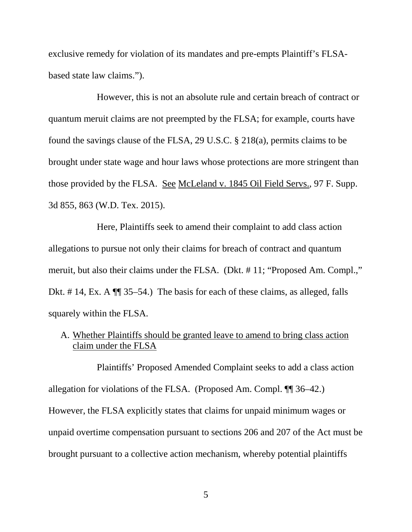exclusive remedy for violation of its mandates and pre-empts Plaintiff's FLSAbased state law claims.").

However, this is not an absolute rule and certain breach of contract or quantum meruit claims are not preempted by the FLSA; for example, courts have found the savings clause of the FLSA, 29 U.S.C. § 218(a), permits claims to be brought under state wage and hour laws whose protections are more stringent than those provided by the FLSA. See McLeland v. 1845 Oil Field Servs., 97 F. Supp. 3d 855, 863 (W.D. Tex. 2015).

Here, Plaintiffs seek to amend their complaint to add class action allegations to pursue not only their claims for breach of contract and quantum meruit, but also their claims under the FLSA. (Dkt. # 11; "Proposed Am. Compl.," Dkt. #14, Ex. A  $\P$  35–54.) The basis for each of these claims, as alleged, falls squarely within the FLSA.

# A. Whether Plaintiffs should be granted leave to amend to bring class action claim under the FLSA

Plaintiffs' Proposed Amended Complaint seeks to add a class action allegation for violations of the FLSA. (Proposed Am. Compl. ¶¶ 36–42.) However, the FLSA explicitly states that claims for unpaid minimum wages or unpaid overtime compensation pursuant to sections 206 and 207 of the Act must be brought pursuant to a collective action mechanism, whereby potential plaintiffs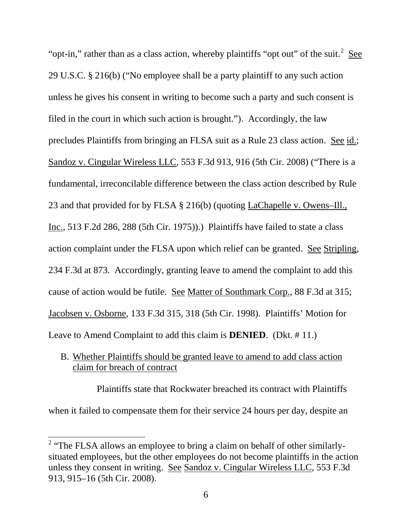"opt-in," rather than as a class action, whereby plaintiffs "opt out" of the suit.<sup>[2](#page-5-0)</sup> See 29 U.S.C. § 216(b) ("No employee shall be a party plaintiff to any such action unless he gives his consent in writing to become such a party and such consent is filed in the court in which such action is brought."). Accordingly, the law precludes Plaintiffs from bringing an FLSA suit as a Rule 23 class action. See id.; Sandoz v. Cingular Wireless LLC, 553 F.3d 913, 916 (5th Cir. 2008) ("There is a fundamental, irreconcilable difference between the class action described by Rule 23 and that provided for by FLSA § 216(b) (quoting LaChapelle v. Owens–Ill., Inc., 513 F.2d 286, 288 (5th Cir. 1975)).) Plaintiffs have failed to state a class action complaint under the FLSA upon which relief can be granted. See Stripling, 234 F.3d at 873. Accordingly, granting leave to amend the complaint to add this cause of action would be futile. See Matter of Southmark Corp., 88 F.3d at 315; Jacobsen v. Osborne, 133 F.3d 315, 318 (5th Cir. 1998). Plaintiffs' Motion for Leave to Amend Complaint to add this claim is **DENIED**. (Dkt. # 11.)

B. Whether Plaintiffs should be granted leave to amend to add class action claim for breach of contract

Plaintiffs state that Rockwater breached its contract with Plaintiffs when it failed to compensate them for their service 24 hours per day, despite an

 $\overline{a}$ 

<span id="page-5-0"></span><sup>&</sup>lt;sup>2</sup> "The FLSA allows an employee to bring a claim on behalf of other similarlysituated employees, but the other employees do not become plaintiffs in the action unless they consent in writing. See Sandoz v. Cingular Wireless LLC, 553 F.3d 913, 915–16 (5th Cir. 2008).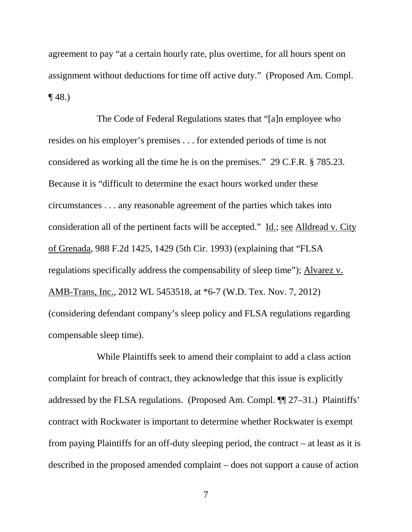agreement to pay "at a certain hourly rate, plus overtime, for all hours spent on assignment without deductions for time off active duty." (Proposed Am. Compl.  $\P$  48.)

The Code of Federal Regulations states that "[a]n employee who resides on his employer's premises . . . for extended periods of time is not considered as working all the time he is on the premises." 29 C.F.R. § 785.23. Because it is "difficult to determine the exact hours worked under these circumstances . . . any reasonable agreement of the parties which takes into consideration all of the pertinent facts will be accepted." Id.; see Alldread v. City of Grenada, 988 F.2d 1425, 1429 (5th Cir. 1993) (explaining that "FLSA regulations specifically address the compensability of sleep time"); Alvarez v. AMB-Trans, Inc., 2012 WL 5453518, at \*6-7 (W.D. Tex. Nov. 7, 2012) (considering defendant company's sleep policy and FLSA regulations regarding compensable sleep time).

While Plaintiffs seek to amend their complaint to add a class action complaint for breach of contract, they acknowledge that this issue is explicitly addressed by the FLSA regulations. (Proposed Am. Compl. ¶¶ 27–31.) Plaintiffs' contract with Rockwater is important to determine whether Rockwater is exempt from paying Plaintiffs for an off-duty sleeping period, the contract – at least as it is described in the proposed amended complaint – does not support a cause of action

7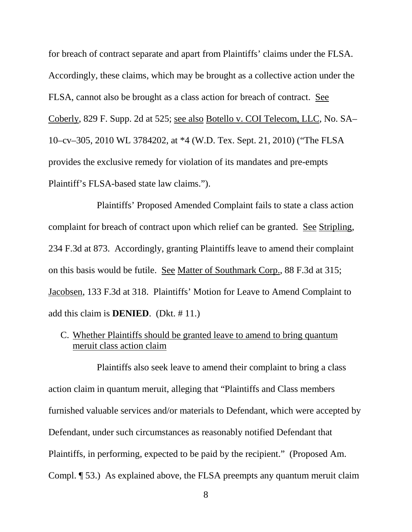for breach of contract separate and apart from Plaintiffs' claims under the FLSA. Accordingly, these claims, which may be brought as a collective action under the FLSA, cannot also be brought as a class action for breach of contract. See Coberly, 829 F. Supp. 2d at 525; see also Botello v. COI Telecom, LLC, No. SA– 10–cv–305, 2010 WL 3784202, at \*4 (W.D. Tex. Sept. 21, 2010) ("The FLSA provides the exclusive remedy for violation of its mandates and pre-empts Plaintiff's FLSA-based state law claims.").

Plaintiffs' Proposed Amended Complaint fails to state a class action complaint for breach of contract upon which relief can be granted. See Stripling, 234 F.3d at 873. Accordingly, granting Plaintiffs leave to amend their complaint on this basis would be futile. See Matter of Southmark Corp., 88 F.3d at 315; Jacobsen, 133 F.3d at 318. Plaintiffs' Motion for Leave to Amend Complaint to add this claim is **DENIED**. (Dkt. # 11.)

# C. Whether Plaintiffs should be granted leave to amend to bring quantum meruit class action claim

Plaintiffs also seek leave to amend their complaint to bring a class action claim in quantum meruit, alleging that "Plaintiffs and Class members furnished valuable services and/or materials to Defendant, which were accepted by Defendant, under such circumstances as reasonably notified Defendant that Plaintiffs, in performing, expected to be paid by the recipient." (Proposed Am. Compl. ¶ 53.) As explained above, the FLSA preempts any quantum meruit claim